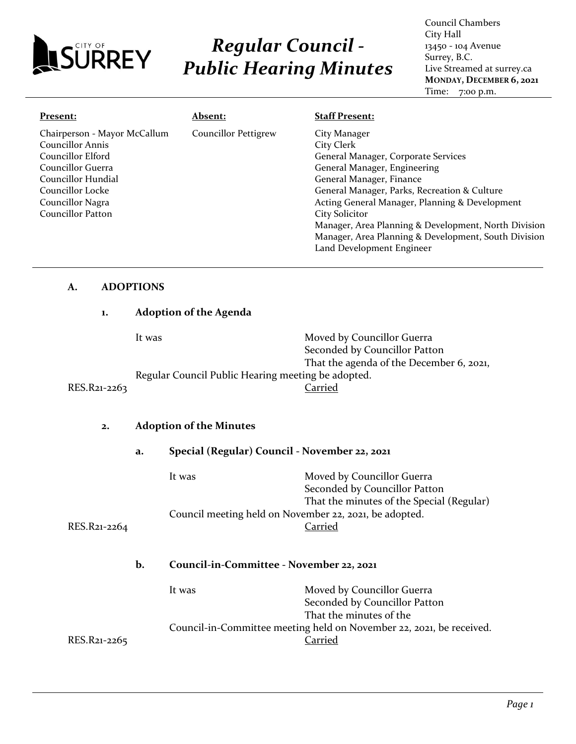

# *Regular Council - Public Hearing Minutes*

Council Chambers City Hall 13450 - 104 Avenue Surrey, B.C. Live Streamed at surrey.ca **MONDAY, DECEMBER 6, 2021** Time: 7:00 p.m.

| Present:                     | <b>Absent:</b>              | <b>Staff Present:</b>                                |
|------------------------------|-----------------------------|------------------------------------------------------|
| Chairperson - Mayor McCallum | <b>Councillor Pettigrew</b> | City Manager                                         |
| Councillor Annis             |                             | City Clerk                                           |
| Councillor Elford            |                             | General Manager, Corporate Services                  |
| Councillor Guerra            |                             | General Manager, Engineering                         |
| Councillor Hundial           |                             | General Manager, Finance                             |
| Councillor Locke             |                             | General Manager, Parks, Recreation & Culture         |
| Councillor Nagra             |                             | Acting General Manager, Planning & Development       |
| <b>Councillor Patton</b>     |                             | <b>City Solicitor</b>                                |
|                              |                             | Manager, Area Planning & Development, North Division |
|                              |                             | Manager, Area Planning & Development, South Division |
|                              |                             | Land Development Engineer                            |

#### **A. ADOPTIONS**

# **1. Adoption of the Agenda**  It was Moved by Councillor Guerra Seconded by Councillor Patton That the agenda of the December 6, 2021, Regular Council Public Hearing meeting be adopted.<br>Carried RES.R21-2263

#### **2. Adoption of the Minutes**

|              | a. | Special (Regular) Council - November 22, 2021                        |                                                                                                          |
|--------------|----|----------------------------------------------------------------------|----------------------------------------------------------------------------------------------------------|
|              |    | It was                                                               | Moved by Councillor Guerra<br>Seconded by Councillor Patton<br>That the minutes of the Special (Regular) |
|              |    |                                                                      |                                                                                                          |
| RES.R21-2264 |    | Council meeting held on November 22, 2021, be adopted.<br>Carried    |                                                                                                          |
|              | b. | Council-in-Committee - November 22, 2021                             |                                                                                                          |
|              |    | It was                                                               | Moved by Councillor Guerra                                                                               |
|              |    | Seconded by Councillor Patton                                        |                                                                                                          |
|              |    | That the minutes of the                                              |                                                                                                          |
|              |    | Council-in-Committee meeting held on November 22, 2021, be received. |                                                                                                          |
| RES.R21-2265 |    | Carried                                                              |                                                                                                          |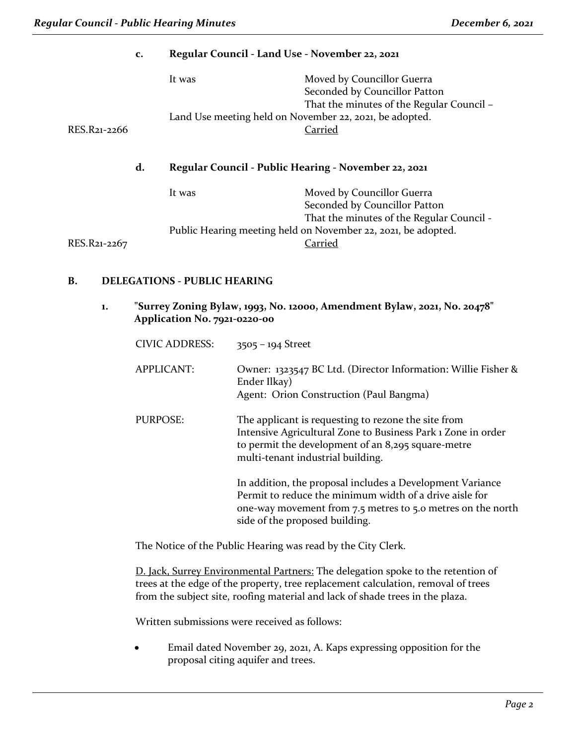|              |    | It was                                                  | Moved by Councillor Guerra<br>Seconded by Councillor Patton<br>That the minutes of the Regular Council - |
|--------------|----|---------------------------------------------------------|----------------------------------------------------------------------------------------------------------|
|              |    | Land Use meeting held on November 22, 2021, be adopted. |                                                                                                          |
| RES.R21-2266 |    | Carried                                                 |                                                                                                          |
|              |    |                                                         |                                                                                                          |
|              | d. | Regular Council - Public Hearing - November 22, 2021    |                                                                                                          |
|              |    | It was                                                  | Moved by Councillor Guerra<br>Seconded by Councillor Patton<br>That the minutes of the Regular Council - |

**c. Regular Council - Land Use - November 22, 2021**

#### **B. DELEGATIONS - PUBLIC HEARING**

**1. "Surrey Zoning Bylaw, 1993, No. 12000, Amendment Bylaw, 2021, No. 20478" Application No. 7921-0220-00**

| CIVIC ADDRESS:    | $3505 - 194$ Street                                                                                                                                                                                                   |
|-------------------|-----------------------------------------------------------------------------------------------------------------------------------------------------------------------------------------------------------------------|
| <b>APPLICANT:</b> | Owner: 1323547 BC Ltd. (Director Information: Willie Fisher &<br>Ender Ilkay)<br>Agent: Orion Construction (Paul Bangma)                                                                                              |
| <b>PURPOSE:</b>   | The applicant is requesting to rezone the site from<br>Intensive Agricultural Zone to Business Park 1 Zone in order<br>to permit the development of an 8,295 square-metre<br>multi-tenant industrial building.        |
|                   | In addition, the proposal includes a Development Variance<br>Permit to reduce the minimum width of a drive aisle for<br>one-way movement from 7.5 metres to 5.0 metres on the north<br>side of the proposed building. |

The Notice of the Public Hearing was read by the City Clerk.

D. Jack, Surrey Environmental Partners: The delegation spoke to the retention of trees at the edge of the property, tree replacement calculation, removal of trees from the subject site, roofing material and lack of shade trees in the plaza.

Written submissions were received as follows:

• Email dated November 29, 2021, A. Kaps expressing opposition for the proposal citing aquifer and trees.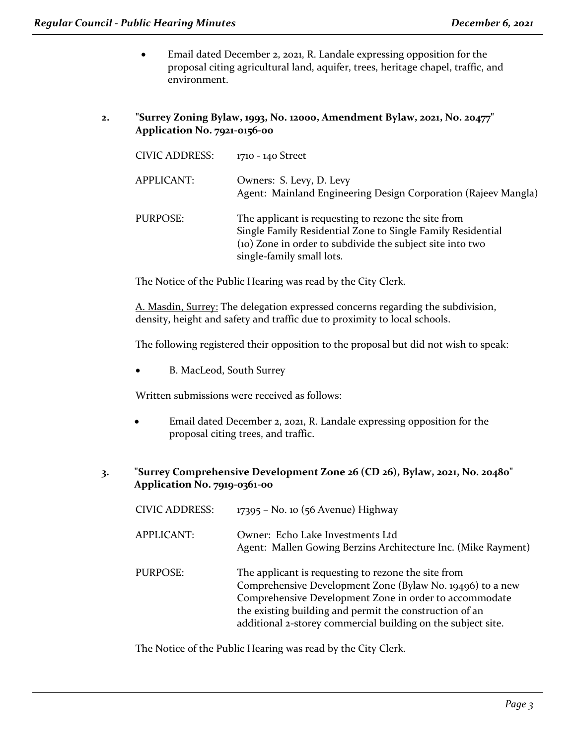- Email dated December 2, 2021, R. Landale expressing opposition for the proposal citing agricultural land, aquifer, trees, heritage chapel, traffic, and environment.
- **2. "Surrey Zoning Bylaw, 1993, No. 12000, Amendment Bylaw, 2021, No. 20477" Application No. 7921-0156-00**

| <b>CIVIC ADDRESS:</b> | 1710 - 140 Street                                                                                                                                                                                            |
|-----------------------|--------------------------------------------------------------------------------------------------------------------------------------------------------------------------------------------------------------|
| <b>APPLICANT:</b>     | Owners: S. Levy, D. Levy<br>Agent: Mainland Engineering Design Corporation (Rajeev Mangla)                                                                                                                   |
| <b>PURPOSE:</b>       | The applicant is requesting to rezone the site from<br>Single Family Residential Zone to Single Family Residential<br>(10) Zone in order to subdivide the subject site into two<br>single-family small lots. |

The Notice of the Public Hearing was read by the City Clerk.

A. Masdin, Surrey: The delegation expressed concerns regarding the subdivision, density, height and safety and traffic due to proximity to local schools.

The following registered their opposition to the proposal but did not wish to speak:

• B. MacLeod, South Surrey

Written submissions were received as follows:

- Email dated December 2, 2021, R. Landale expressing opposition for the proposal citing trees, and traffic.
- **3. "Surrey Comprehensive Development Zone 26 (CD 26), Bylaw, 2021, No. 20480" Application No. 7919-0361-00**

| <b>CIVIC ADDRESS:</b> | 17395 - No. 10 (56 Avenue) Highway                                                                                                                                                                                                                                                                    |
|-----------------------|-------------------------------------------------------------------------------------------------------------------------------------------------------------------------------------------------------------------------------------------------------------------------------------------------------|
| <b>APPLICANT:</b>     | Owner: Echo Lake Investments Ltd<br>Agent: Mallen Gowing Berzins Architecture Inc. (Mike Rayment)                                                                                                                                                                                                     |
| <b>PURPOSE:</b>       | The applicant is requesting to rezone the site from<br>Comprehensive Development Zone (Bylaw No. 19496) to a new<br>Comprehensive Development Zone in order to accommodate<br>the existing building and permit the construction of an<br>additional 2-storey commercial building on the subject site. |

The Notice of the Public Hearing was read by the City Clerk.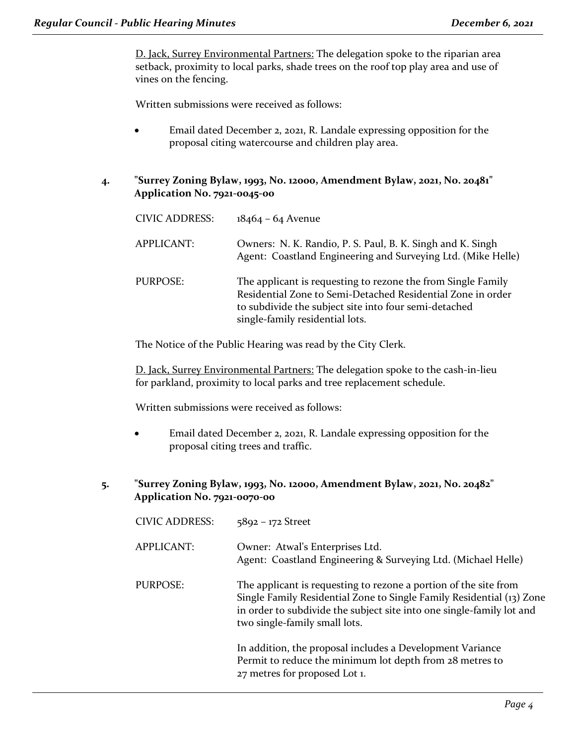D. Jack, Surrey Environmental Partners: The delegation spoke to the riparian area setback, proximity to local parks, shade trees on the roof top play area and use of vines on the fencing.

Written submissions were received as follows:

- Email dated December 2, 2021, R. Landale expressing opposition for the proposal citing watercourse and children play area.
- **4. "Surrey Zoning Bylaw, 1993, No. 12000, Amendment Bylaw, 2021, No. 20481" Application No. 7921-0045-00**

| <b>CIVIC ADDRESS:</b> | $18464 - 64$ Avenue                                                                                                                                                                                                     |
|-----------------------|-------------------------------------------------------------------------------------------------------------------------------------------------------------------------------------------------------------------------|
| APPLICANT:            | Owners: N. K. Randio, P. S. Paul, B. K. Singh and K. Singh<br>Agent: Coastland Engineering and Surveying Ltd. (Mike Helle)                                                                                              |
| PURPOSE:              | The applicant is requesting to rezone the from Single Family<br>Residential Zone to Semi-Detached Residential Zone in order<br>to subdivide the subject site into four semi-detached<br>single-family residential lots. |

The Notice of the Public Hearing was read by the City Clerk.

D. Jack, Surrey Environmental Partners: The delegation spoke to the cash-in-lieu for parkland, proximity to local parks and tree replacement schedule.

Written submissions were received as follows:

- Email dated December 2, 2021, R. Landale expressing opposition for the proposal citing trees and traffic.
- **5. "Surrey Zoning Bylaw, 1993, No. 12000, Amendment Bylaw, 2021, No. 20482" Application No. 7921-0070-00**

| <b>CIVIC ADDRESS:</b> | $5892 - 172$ Street                                                                                                                                                                                                                                 |
|-----------------------|-----------------------------------------------------------------------------------------------------------------------------------------------------------------------------------------------------------------------------------------------------|
| <b>APPLICANT:</b>     | Owner: Atwal's Enterprises Ltd.<br>Agent: Coastland Engineering & Surveying Ltd. (Michael Helle)                                                                                                                                                    |
| PURPOSE:              | The applicant is requesting to rezone a portion of the site from<br>Single Family Residential Zone to Single Family Residential (13) Zone<br>in order to subdivide the subject site into one single-family lot and<br>two single-family small lots. |
|                       | In addition, the proposal includes a Development Variance<br>Permit to reduce the minimum lot depth from 28 metres to<br>27 metres for proposed Lot 1.                                                                                              |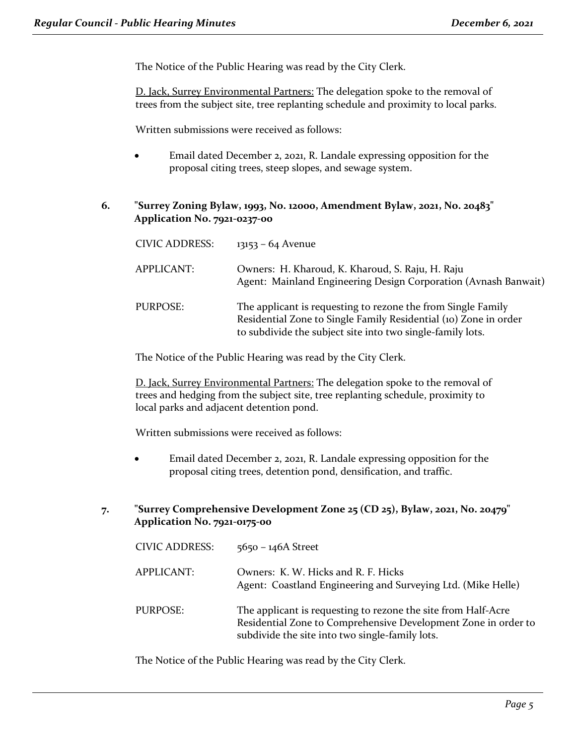The Notice of the Public Hearing was read by the City Clerk.

D. Jack, Surrey Environmental Partners: The delegation spoke to the removal of trees from the subject site, tree replanting schedule and proximity to local parks.

Written submissions were received as follows:

- Email dated December 2, 2021, R. Landale expressing opposition for the proposal citing trees, steep slopes, and sewage system.
- **6. "Surrey Zoning Bylaw, 1993, No. 12000, Amendment Bylaw, 2021, No. 20483" Application No. 7921-0237-00**

| <b>CIVIC ADDRESS:</b> | $13153 - 64$ Avenue                                                                                                                                                                            |
|-----------------------|------------------------------------------------------------------------------------------------------------------------------------------------------------------------------------------------|
| APPLICANT:            | Owners: H. Kharoud, K. Kharoud, S. Raju, H. Raju<br>Agent: Mainland Engineering Design Corporation (Avnash Banwait)                                                                            |
| PURPOSE:              | The applicant is requesting to rezone the from Single Family<br>Residential Zone to Single Family Residential (10) Zone in order<br>to subdivide the subject site into two single-family lots. |

The Notice of the Public Hearing was read by the City Clerk.

D. Jack, Surrey Environmental Partners: The delegation spoke to the removal of trees and hedging from the subject site, tree replanting schedule, proximity to local parks and adjacent detention pond.

Written submissions were received as follows:

- Email dated December 2, 2021, R. Landale expressing opposition for the proposal citing trees, detention pond, densification, and traffic.
- **7. "Surrey Comprehensive Development Zone 25 (CD 25), Bylaw, 2021, No. 20479" Application No. 7921-0175-00**

| <b>CIVIC ADDRESS:</b> | $5650 - 146A$ Street                                                                                                                                                               |
|-----------------------|------------------------------------------------------------------------------------------------------------------------------------------------------------------------------------|
| <b>APPLICANT:</b>     | Owners: K. W. Hicks and R. F. Hicks<br>Agent: Coastland Engineering and Surveying Ltd. (Mike Helle)                                                                                |
| <b>PURPOSE:</b>       | The applicant is requesting to rezone the site from Half-Acre<br>Residential Zone to Comprehensive Development Zone in order to<br>subdivide the site into two single-family lots. |

The Notice of the Public Hearing was read by the City Clerk.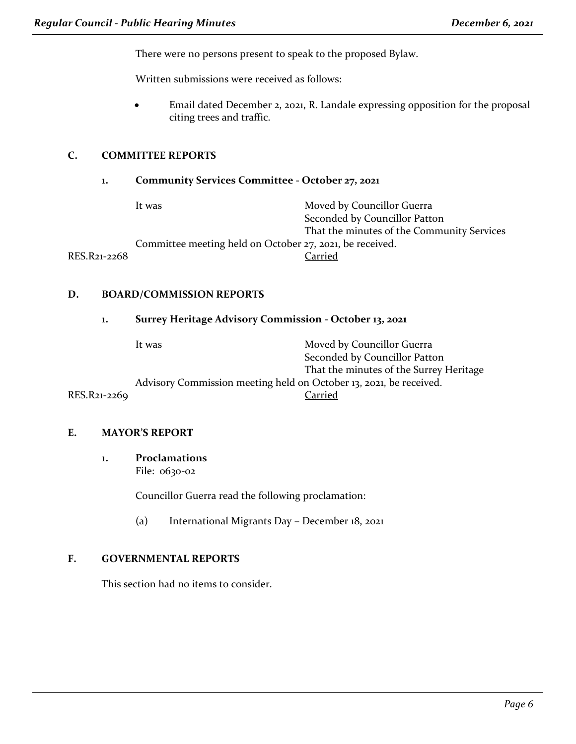There were no persons present to speak to the proposed Bylaw.

Written submissions were received as follows:

• Email dated December 2, 2021, R. Landale expressing opposition for the proposal citing trees and traffic.

#### **C. COMMITTEE REPORTS**

#### **1. Community Services Committee - October 27, 2021**

|              | It was                                                   | Moved by Councillor Guerra                 |
|--------------|----------------------------------------------------------|--------------------------------------------|
|              |                                                          | Seconded by Councillor Patton              |
|              |                                                          | That the minutes of the Community Services |
|              | Committee meeting held on October 27, 2021, be received. |                                            |
| RES.R21-2268 |                                                          | Carried                                    |
|              |                                                          |                                            |

#### **D. BOARD/COMMISSION REPORTS**

#### **1. Surrey Heritage Advisory Commission - October 13, 2021**

|              | It was                                                             | Moved by Councillor Guerra              |
|--------------|--------------------------------------------------------------------|-----------------------------------------|
|              |                                                                    | Seconded by Councillor Patton           |
|              |                                                                    | That the minutes of the Surrey Heritage |
|              | Advisory Commission meeting held on October 13, 2021, be received. |                                         |
| RES.R21-2269 |                                                                    | Carried                                 |

#### **E. MAYOR'S REPORT**

**1. Proclamations** File: 0630-02

Councillor Guerra read the following proclamation:

(a) International Migrants Day – December 18, 2021

#### **F. GOVERNMENTAL REPORTS**

This section had no items to consider.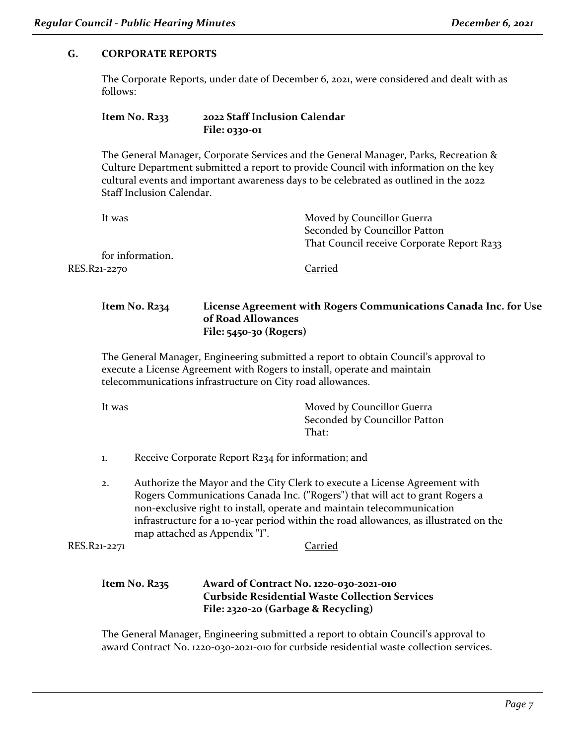#### **G. CORPORATE REPORTS**

The Corporate Reports, under date of December 6, 2021, were considered and dealt with as follows:

#### **Item No. R233 2022 Staff Inclusion Calendar File: 0330-01**

The General Manager, Corporate Services and the General Manager, Parks, Recreation & Culture Department submitted a report to provide Council with information on the key cultural events and important awareness days to be celebrated as outlined in the 2022 Staff Inclusion Calendar.

| It was           | Moved by Councillor Guerra                 |
|------------------|--------------------------------------------|
|                  | Seconded by Councillor Patton              |
|                  | That Council receive Corporate Report R233 |
| for information. |                                            |
| RES.R21-2270     | Carried                                    |
|                  |                                            |

#### **Item No. R234 License Agreement with Rogers Communications Canada Inc. for Use of Road Allowances File: 5450-30 (Rogers)**

The General Manager, Engineering submitted a report to obtain Council's approval to execute a License Agreement with Rogers to install, operate and maintain telecommunications infrastructure on City road allowances.

It was **Moved by Councillor Guerra** Seconded by Councillor Patton That $\cdot$ 

- 1. Receive Corporate Report R234 for information; and
- 2. Authorize the Mayor and the City Clerk to execute a License Agreement with Rogers Communications Canada Inc. ("Rogers") that will act to grant Rogers a non-exclusive right to install, operate and maintain telecommunication infrastructure for a 10-year period within the road allowances, as illustrated on the map attached as Appendix "I".

RES.R21-2271 Carried

#### **Item No. R235 Award of Contract No. 1220-030-2021-010 Curbside Residential Waste Collection Services File: 2320-20 (Garbage & Recycling)**

The General Manager, Engineering submitted a report to obtain Council's approval to award Contract No. 1220-030-2021-010 for curbside residential waste collection services.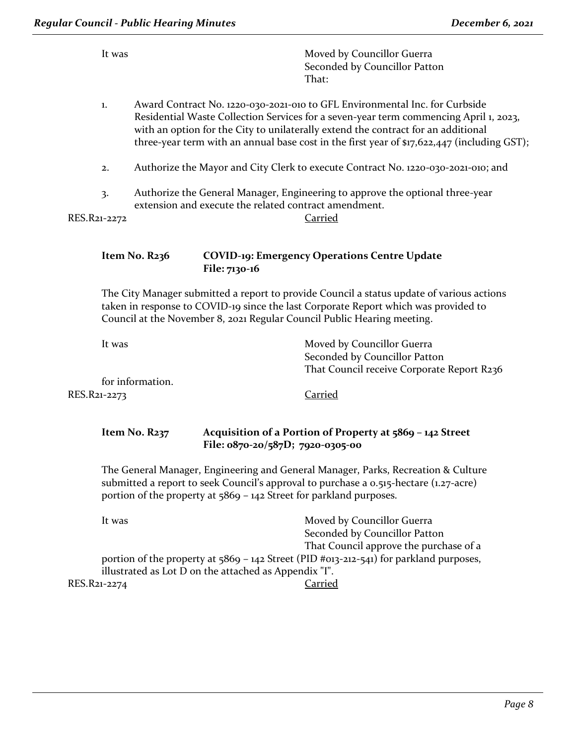|              | It was                                                                                                                                                                                                                                                      |                                                                                                                                        |               | Moved by Councillor Guerra<br>Seconded by Councillor Patton<br>That:                                                                                                                                                                                                                                                                                     |
|--------------|-------------------------------------------------------------------------------------------------------------------------------------------------------------------------------------------------------------------------------------------------------------|----------------------------------------------------------------------------------------------------------------------------------------|---------------|----------------------------------------------------------------------------------------------------------------------------------------------------------------------------------------------------------------------------------------------------------------------------------------------------------------------------------------------------------|
|              | 1.                                                                                                                                                                                                                                                          |                                                                                                                                        |               | Award Contract No. 1220-030-2021-010 to GFL Environmental Inc. for Curbside<br>Residential Waste Collection Services for a seven-year term commencing April 1, 2023,<br>with an option for the City to unilaterally extend the contract for an additional<br>three-year term with an annual base cost in the first year of \$17,622,447 (including GST); |
|              | 2.                                                                                                                                                                                                                                                          | Authorize the Mayor and City Clerk to execute Contract No. 1220-030-2021-010; and                                                      |               |                                                                                                                                                                                                                                                                                                                                                          |
|              | $\overline{3}$ .                                                                                                                                                                                                                                            | Authorize the General Manager, Engineering to approve the optional three-year<br>extension and execute the related contract amendment. |               |                                                                                                                                                                                                                                                                                                                                                          |
| RES.R21-2272 |                                                                                                                                                                                                                                                             |                                                                                                                                        |               | Carried                                                                                                                                                                                                                                                                                                                                                  |
|              |                                                                                                                                                                                                                                                             | Item No. R236                                                                                                                          | File: 7130-16 | <b>COVID-19: Emergency Operations Centre Update</b>                                                                                                                                                                                                                                                                                                      |
|              | The City Manager submitted a report to provide Council a status update of various actions<br>taken in response to COVID-19 since the last Corporate Report which was provided to<br>Council at the November 8, 2021 Regular Council Public Hearing meeting. |                                                                                                                                        |               |                                                                                                                                                                                                                                                                                                                                                          |
|              | It was                                                                                                                                                                                                                                                      |                                                                                                                                        |               | Moved by Councillor Guerra<br>Seconded by Councillor Patton<br>That Council receive Corporate Report R236                                                                                                                                                                                                                                                |
|              |                                                                                                                                                                                                                                                             | for information.                                                                                                                       |               | Carried                                                                                                                                                                                                                                                                                                                                                  |
| RES.R21-2273 |                                                                                                                                                                                                                                                             |                                                                                                                                        |               |                                                                                                                                                                                                                                                                                                                                                          |

### **Item No. R237 Acquisition of a Portion of Property at 5869 – 142 Street File: 0870-20/587D; 7920-0305-00**

The General Manager, Engineering and General Manager, Parks, Recreation & Culture submitted a report to seek Council's approval to purchase a 0.515-hectare (1.27-acre) portion of the property at 5869 – 142 Street for parkland purposes.

| It was                                                | Moved by Councillor Guerra                                                               |
|-------------------------------------------------------|------------------------------------------------------------------------------------------|
|                                                       | Seconded by Councillor Patton                                                            |
|                                                       | That Council approve the purchase of a                                                   |
|                                                       | portion of the property at $5869 - 142$ Street (PID #013-212-541) for parkland purposes, |
| illustrated as Lot D on the attached as Appendix "I". |                                                                                          |
| RES.R21-2274                                          | Carried                                                                                  |
|                                                       |                                                                                          |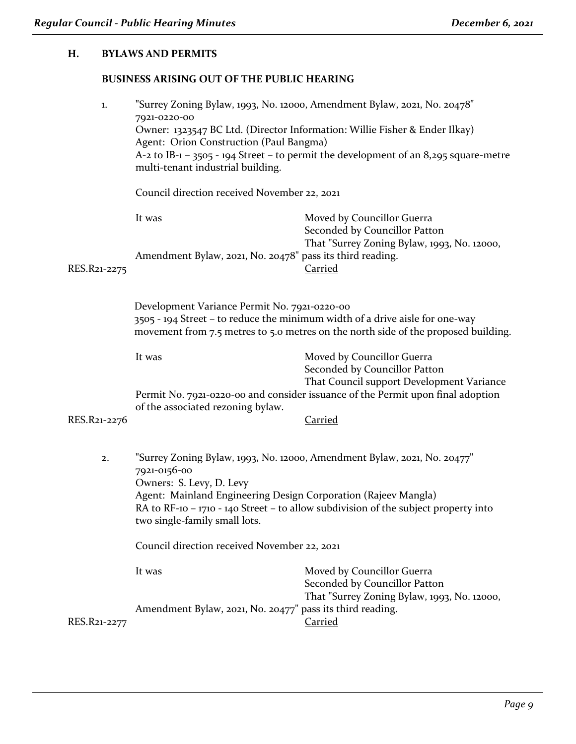## **H. BYLAWS AND PERMITS**

## **BUSINESS ARISING OUT OF THE PUBLIC HEARING**

| $1.$         | 7921-0220-00<br>Agent: Orion Construction (Paul Bangma)<br>multi-tenant industrial building.                                                | "Surrey Zoning Bylaw, 1993, No. 12000, Amendment Bylaw, 2021, No. 20478"<br>Owner: 1323547 BC Ltd. (Director Information: Willie Fisher & Ender Ilkay)<br>A-2 to IB-1 - 3505 - 194 Street - to permit the development of an 8,295 square-metre |
|--------------|---------------------------------------------------------------------------------------------------------------------------------------------|------------------------------------------------------------------------------------------------------------------------------------------------------------------------------------------------------------------------------------------------|
|              | Council direction received November 22, 2021                                                                                                |                                                                                                                                                                                                                                                |
|              | It was                                                                                                                                      | Moved by Councillor Guerra<br>Seconded by Councillor Patton                                                                                                                                                                                    |
| RES.R21-2275 | Amendment Bylaw, 2021, No. 20478" pass its third reading.                                                                                   | That "Surrey Zoning Bylaw, 1993, No. 12000,<br><b>Carried</b>                                                                                                                                                                                  |
|              | Development Variance Permit No. 7921-0220-00                                                                                                | 3505 - 194 Street – to reduce the minimum width of a drive aisle for one-way<br>movement from 7.5 metres to 5.0 metres on the north side of the proposed building.                                                                             |
|              | It was                                                                                                                                      | Moved by Councillor Guerra<br>Seconded by Councillor Patton<br>That Council support Development Variance<br>Permit No. 7921-0220-00 and consider issuance of the Permit upon final adoption                                                    |
| RES.R21-2276 | of the associated rezoning bylaw.                                                                                                           | <b>Carried</b>                                                                                                                                                                                                                                 |
| 2.           | 7921-0156-00<br>Owners: S. Levy, D. Levy<br>Agent: Mainland Engineering Design Corporation (Rajeev Mangla)<br>two single-family small lots. | "Surrey Zoning Bylaw, 1993, No. 12000, Amendment Bylaw, 2021, No. 20477"<br>RA to RF-10 - 1710 - 140 Street - to allow subdivision of the subject property into                                                                                |
|              | Council direction received November 22, 2021                                                                                                |                                                                                                                                                                                                                                                |
|              | It was<br>Amendment Bylaw, 2021, No. 20477" pass its third reading.                                                                         | Moved by Councillor Guerra<br>Seconded by Councillor Patton<br>That "Surrey Zoning Bylaw, 1993, No. 12000,                                                                                                                                     |
| RES.R21-2277 |                                                                                                                                             | Carried                                                                                                                                                                                                                                        |
|              |                                                                                                                                             |                                                                                                                                                                                                                                                |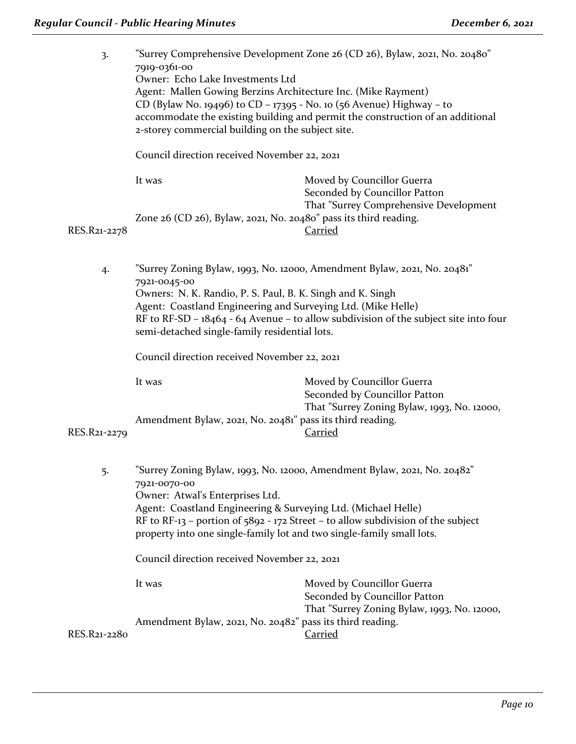| 3.           | 7919-0361-00<br>Owner: Echo Lake Investments Ltd<br>Agent: Mallen Gowing Berzins Architecture Inc. (Mike Rayment)<br>CD (Bylaw No. 19496) to CD - 17395 - No. 10 (56 Avenue) Highway - to<br>2-storey commercial building on the subject site. | "Surrey Comprehensive Development Zone 26 (CD 26), Bylaw, 2021, No. 20480"<br>accommodate the existing building and permit the construction of an additional       |
|--------------|------------------------------------------------------------------------------------------------------------------------------------------------------------------------------------------------------------------------------------------------|--------------------------------------------------------------------------------------------------------------------------------------------------------------------|
|              | Council direction received November 22, 2021                                                                                                                                                                                                   |                                                                                                                                                                    |
|              | It was                                                                                                                                                                                                                                         | Moved by Councillor Guerra<br>Seconded by Councillor Patton                                                                                                        |
| RES.R21-2278 | Zone $26$ (CD $26$ ), Bylaw, $2021$ , No. $20480$ <sup>"</sup> pass its third reading.                                                                                                                                                         | That "Surrey Comprehensive Development<br><b>Carried</b>                                                                                                           |
| 4.           | 7921-0045-00<br>Owners: N. K. Randio, P. S. Paul, B. K. Singh and K. Singh<br>Agent: Coastland Engineering and Surveying Ltd. (Mike Helle)<br>semi-detached single-family residential lots.                                                    | "Surrey Zoning Bylaw, 1993, No. 12000, Amendment Bylaw, 2021, No. 20481"<br>RF to RF-SD – $18464 - 64$ Avenue – to allow subdivision of the subject site into four |
|              | Council direction received November 22, 2021                                                                                                                                                                                                   |                                                                                                                                                                    |
| RES.R21-2279 | It was<br>Amendment Bylaw, 2021, No. 20481" pass its third reading.                                                                                                                                                                            | Moved by Councillor Guerra<br>Seconded by Councillor Patton<br>That "Surrey Zoning Bylaw, 1993, No. 12000,<br><b>Carried</b>                                       |
| 5.           | 7921-0070-00<br>Owner: Atwal's Enterprises Ltd.<br>Agent: Coastland Engineering & Surveying Ltd. (Michael Helle)<br>property into one single-family lot and two single-family small lots.                                                      | "Surrey Zoning Bylaw, 1993, No. 12000, Amendment Bylaw, 2021, No. 20482"<br>RF to RF-13 – portion of $5892 - 172$ Street – to allow subdivision of the subject     |
|              | Council direction received November 22, 2021                                                                                                                                                                                                   |                                                                                                                                                                    |
|              | It was                                                                                                                                                                                                                                         | Moved by Councillor Guerra<br>Seconded by Councillor Patton<br>That "Surrey Zoning Bylaw, 1993, No. 12000,                                                         |
| RES.R21-2280 | Amendment Bylaw, 2021, No. 20482" pass its third reading.                                                                                                                                                                                      | <b>Carried</b>                                                                                                                                                     |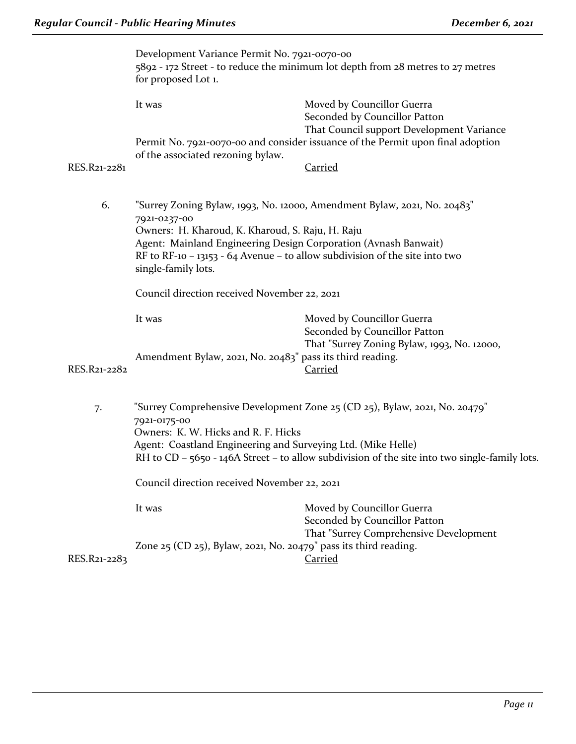|              | Development Variance Permit No. 7921-0070-00<br>for proposed Lot 1.                                                                                                                                                | 5892 - 172 Street - to reduce the minimum lot depth from 28 metres to 27 metres                                                                                             |
|--------------|--------------------------------------------------------------------------------------------------------------------------------------------------------------------------------------------------------------------|-----------------------------------------------------------------------------------------------------------------------------------------------------------------------------|
|              | It was                                                                                                                                                                                                             | Moved by Councillor Guerra<br>Seconded by Councillor Patton<br>That Council support Development Variance                                                                    |
|              |                                                                                                                                                                                                                    | Permit No. 7921-0070-00 and consider issuance of the Permit upon final adoption                                                                                             |
| RES.R21-2281 | of the associated rezoning bylaw.                                                                                                                                                                                  | <b>Carried</b>                                                                                                                                                              |
| 6.           | 7921-0237-00<br>Owners: H. Kharoud, K. Kharoud, S. Raju, H. Raju<br>Agent: Mainland Engineering Design Corporation (Avnash Banwait)<br>RF to RF-10 - 13153 - 64 Avenue - to allow subdivision of the site into two | "Surrey Zoning Bylaw, 1993, No. 12000, Amendment Bylaw, 2021, No. 20483"                                                                                                    |
|              | single-family lots.<br>Council direction received November 22, 2021                                                                                                                                                |                                                                                                                                                                             |
|              | It was                                                                                                                                                                                                             | Moved by Councillor Guerra                                                                                                                                                  |
| RES.R21-2282 | Amendment Bylaw, 2021, No. 20483" pass its third reading.                                                                                                                                                          | Seconded by Councillor Patton<br>That "Surrey Zoning Bylaw, 1993, No. 12000,<br><u>Carried</u>                                                                              |
| 7.           | 7921-0175-00<br>Owners: K. W. Hicks and R. F. Hicks<br>Agent: Coastland Engineering and Surveying Ltd. (Mike Helle)                                                                                                | "Surrey Comprehensive Development Zone 25 (CD 25), Bylaw, 2021, No. 20479"<br>RH to CD - 5650 - 146A Street - to allow subdivision of the site into two single-family lots. |
|              | Council direction received November 22, 2021                                                                                                                                                                       |                                                                                                                                                                             |
|              | It was                                                                                                                                                                                                             | Moved by Councillor Guerra<br>Seconded by Councillor Patton                                                                                                                 |
| RES.R21-2283 | Zone $25$ (CD $25$ ), Bylaw, 2021, No. 20479" pass its third reading.                                                                                                                                              | That "Surrey Comprehensive Development<br><b>Carried</b>                                                                                                                    |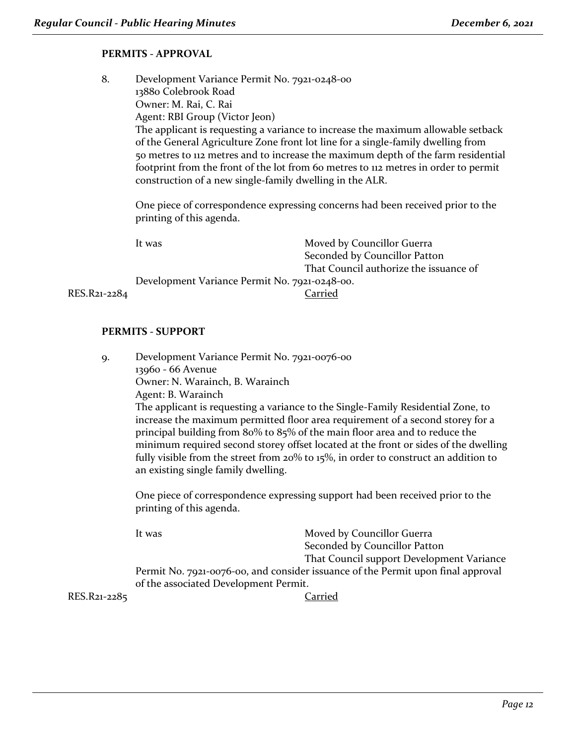#### **PERMITS - APPROVAL**

8. Development Variance Permit No. 7921-0248-00 13880 Colebrook Road Owner: M. Rai, C. Rai Agent: RBI Group (Victor Jeon) The applicant is requesting a variance to increase the maximum allowable setback of the General Agriculture Zone front lot line for a single-family dwelling from 50 metres to 112 metres and to increase the maximum depth of the farm residential footprint from the front of the lot from 60 metres to 112 metres in order to permit construction of a new single-family dwelling in the ALR. One piece of correspondence expressing concerns had been received prior to the

|              | It was                                        | Moved by Councillor Guerra             |
|--------------|-----------------------------------------------|----------------------------------------|
|              |                                               | Seconded by Councillor Patton          |
|              |                                               | That Council authorize the issuance of |
|              | Development Variance Permit No. 7921-0248-00. |                                        |
| RES.R21-2284 |                                               | Carried                                |

#### **PERMITS - SUPPORT**

printing of this agenda.

9. Development Variance Permit No. 7921-0076-00 13960 - 66 Avenue Owner: N. Warainch, B. Warainch Agent: B. Warainch The applicant is requesting a variance to the Single-Family Residential Zone, to increase the maximum permitted floor area requirement of a second storey for a principal building from 80% to 85% of the main floor area and to reduce the minimum required second storey offset located at the front or sides of the dwelling fully visible from the street from 20% to 15%, in order to construct an addition to an existing single family dwelling. One piece of correspondence expressing support had been received prior to the printing of this agenda. It was Moved by Councillor Guerra

Seconded by Councillor Patton That Council support Development Variance Permit No. 7921-0076-00, and consider issuance of the Permit upon final approval of the associated Development Permit.

RES.R21-2285 Carried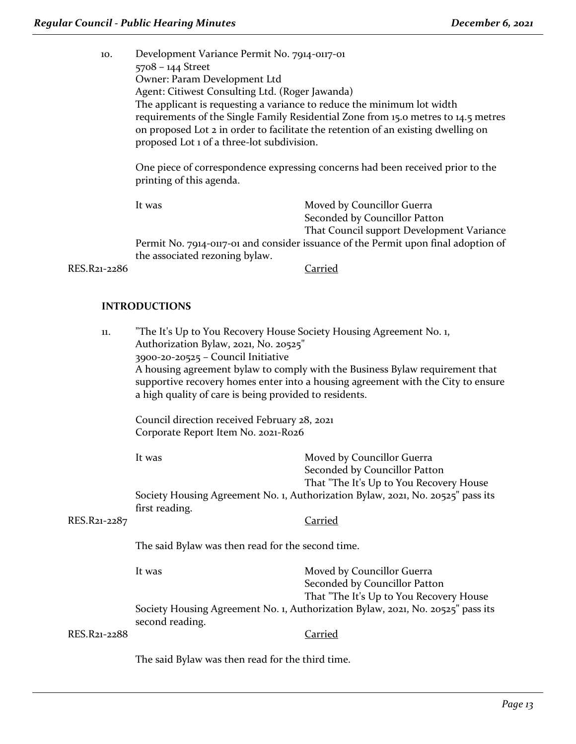10. Development Variance Permit No. 7914-0117-01 5708 – 144 Street Owner: Param Development Ltd Agent: Citiwest Consulting Ltd. (Roger Jawanda) The applicant is requesting a variance to reduce the minimum lot width requirements of the Single Family Residential Zone from 15.0 metres to 14.5 metres on proposed Lot 2 in order to facilitate the retention of an existing dwelling on proposed Lot 1 of a three-lot subdivision.

One piece of correspondence expressing concerns had been received prior to the printing of this agenda.

It was Moved by Councillor Guerra Seconded by Councillor Patton That Council support Development Variance Permit No. 7914-0117-01 and consider issuance of the Permit upon final adoption of the associated rezoning bylaw.

RES.R21-2286 Carried

#### **INTRODUCTIONS**

| 11.          | "The It's Up to You Recovery House Society Housing Agreement No. 1,<br>Authorization Bylaw, 2021, No. 20525"<br>3900-20-20525 - Council Initiative<br>a high quality of care is being provided to residents. | A housing agreement bylaw to comply with the Business Bylaw requirement that<br>supportive recovery homes enter into a housing agreement with the City to ensure |
|--------------|--------------------------------------------------------------------------------------------------------------------------------------------------------------------------------------------------------------|------------------------------------------------------------------------------------------------------------------------------------------------------------------|
|              | Council direction received February 28, 2021<br>Corporate Report Item No. 2021-R026                                                                                                                          |                                                                                                                                                                  |
|              | It was                                                                                                                                                                                                       | Moved by Councillor Guerra<br>Seconded by Councillor Patton<br>That "The It's Up to You Recovery House                                                           |
| RES.R21-2287 | first reading.                                                                                                                                                                                               | Society Housing Agreement No. 1, Authorization Bylaw, 2021, No. 20525" pass its<br>Carried                                                                       |
|              | The said Bylaw was then read for the second time.                                                                                                                                                            |                                                                                                                                                                  |
|              | It was                                                                                                                                                                                                       | Moved by Councillor Guerra<br>Seconded by Councillor Patton<br>That "The It's Up to You Recovery House                                                           |
| RES.R21-2288 | second reading.                                                                                                                                                                                              | Society Housing Agreement No. 1, Authorization Bylaw, 2021, No. 20525" pass its<br>Carried                                                                       |
|              |                                                                                                                                                                                                              |                                                                                                                                                                  |

The said Bylaw was then read for the third time.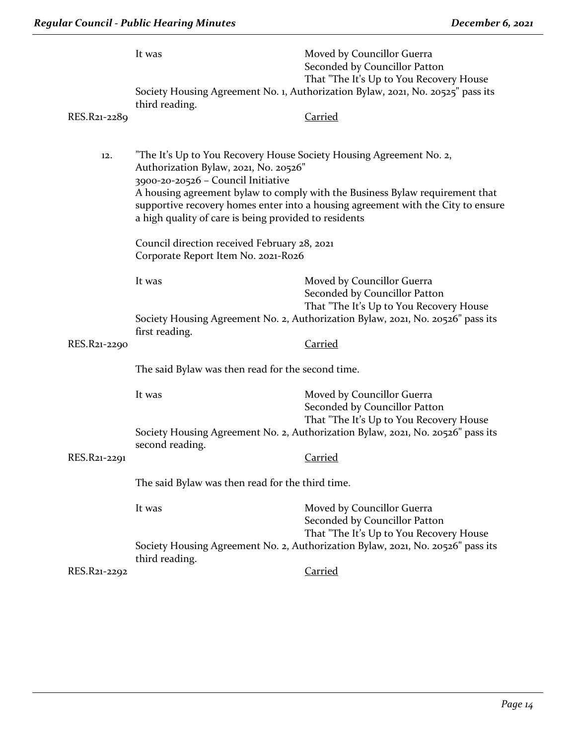|              | It was                                                                                                                                                                                                      | Moved by Councillor Guerra<br>Seconded by Councillor Patton<br>That "The It's Up to You Recovery House                                                           |
|--------------|-------------------------------------------------------------------------------------------------------------------------------------------------------------------------------------------------------------|------------------------------------------------------------------------------------------------------------------------------------------------------------------|
|              | third reading.                                                                                                                                                                                              | Society Housing Agreement No. 1, Authorization Bylaw, 2021, No. 20525" pass its                                                                                  |
| RES.R21-2289 |                                                                                                                                                                                                             | <b>Carried</b>                                                                                                                                                   |
| 12.          | "The It's Up to You Recovery House Society Housing Agreement No. 2,<br>Authorization Bylaw, 2021, No. 20526"<br>3900-20-20526 - Council Initiative<br>a high quality of care is being provided to residents | A housing agreement bylaw to comply with the Business Bylaw requirement that<br>supportive recovery homes enter into a housing agreement with the City to ensure |
|              | Council direction received February 28, 2021<br>Corporate Report Item No. 2021-Ro26                                                                                                                         |                                                                                                                                                                  |
|              | It was                                                                                                                                                                                                      | Moved by Councillor Guerra<br>Seconded by Councillor Patton<br>That "The It's Up to You Recovery House                                                           |
|              | first reading.                                                                                                                                                                                              | Society Housing Agreement No. 2, Authorization Bylaw, 2021, No. 20526" pass its                                                                                  |
| RES.R21-2290 |                                                                                                                                                                                                             | <b>Carried</b>                                                                                                                                                   |
|              | The said Bylaw was then read for the second time.                                                                                                                                                           |                                                                                                                                                                  |
|              | It was                                                                                                                                                                                                      | Moved by Councillor Guerra<br>Seconded by Councillor Patton<br>That "The It's Up to You Recovery House                                                           |
|              | second reading.                                                                                                                                                                                             | Society Housing Agreement No. 2, Authorization Bylaw, 2021, No. 20526" pass its                                                                                  |
| RES.R21-2291 |                                                                                                                                                                                                             | <b>Carried</b>                                                                                                                                                   |
|              | The said Bylaw was then read for the third time.                                                                                                                                                            |                                                                                                                                                                  |
|              | It was                                                                                                                                                                                                      | Moved by Councillor Guerra<br>Seconded by Councillor Patton                                                                                                      |
|              | third reading.                                                                                                                                                                                              | That "The It's Up to You Recovery House<br>Society Housing Agreement No. 2, Authorization Bylaw, 2021, No. 20526" pass its                                       |
| RES.R21-2292 |                                                                                                                                                                                                             | <b>Carried</b>                                                                                                                                                   |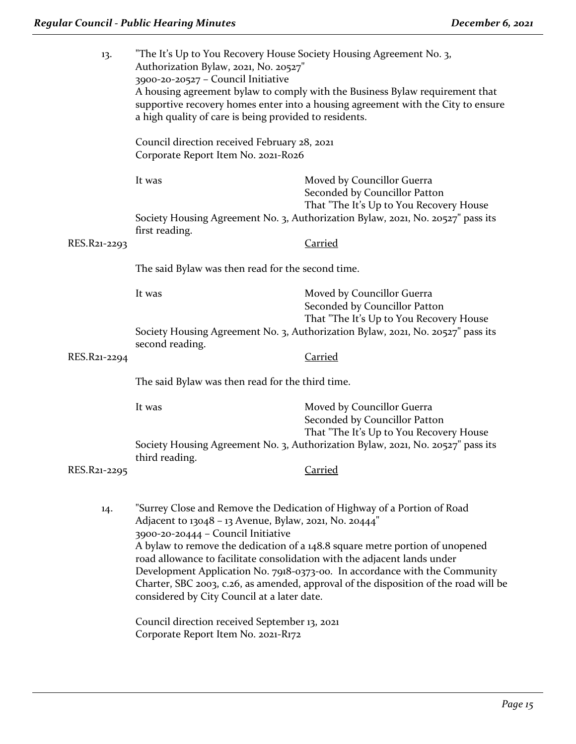| 13.          | "The It's Up to You Recovery House Society Housing Agreement No. 3,<br>Authorization Bylaw, 2021, No. 20527"<br>3900-20-20527 - Council Initiative<br>a high quality of care is being provided to residents.            | A housing agreement bylaw to comply with the Business Bylaw requirement that<br>supportive recovery homes enter into a housing agreement with the City to ensure                                                                                                                                                              |
|--------------|-------------------------------------------------------------------------------------------------------------------------------------------------------------------------------------------------------------------------|-------------------------------------------------------------------------------------------------------------------------------------------------------------------------------------------------------------------------------------------------------------------------------------------------------------------------------|
|              | Council direction received February 28, 2021<br>Corporate Report Item No. 2021-R026                                                                                                                                     |                                                                                                                                                                                                                                                                                                                               |
|              | It was                                                                                                                                                                                                                  | Moved by Councillor Guerra<br>Seconded by Councillor Patton                                                                                                                                                                                                                                                                   |
|              | first reading.                                                                                                                                                                                                          | That "The It's Up to You Recovery House<br>Society Housing Agreement No. 3, Authorization Bylaw, 2021, No. 20527" pass its                                                                                                                                                                                                    |
| RES.R21-2293 |                                                                                                                                                                                                                         | <b>Carried</b>                                                                                                                                                                                                                                                                                                                |
|              | The said Bylaw was then read for the second time.                                                                                                                                                                       |                                                                                                                                                                                                                                                                                                                               |
|              | It was                                                                                                                                                                                                                  | Moved by Councillor Guerra<br>Seconded by Councillor Patton<br>That "The It's Up to You Recovery House                                                                                                                                                                                                                        |
|              | second reading.                                                                                                                                                                                                         | Society Housing Agreement No. 3, Authorization Bylaw, 2021, No. 20527" pass its                                                                                                                                                                                                                                               |
| RES.R21-2294 |                                                                                                                                                                                                                         | <b>Carried</b>                                                                                                                                                                                                                                                                                                                |
|              | The said Bylaw was then read for the third time.                                                                                                                                                                        |                                                                                                                                                                                                                                                                                                                               |
|              | It was                                                                                                                                                                                                                  | Moved by Councillor Guerra<br>Seconded by Councillor Patton<br>That "The It's Up to You Recovery House                                                                                                                                                                                                                        |
|              | third reading.                                                                                                                                                                                                          | Society Housing Agreement No. 3, Authorization Bylaw, 2021, No. 20527" pass its                                                                                                                                                                                                                                               |
| RES.R21-2295 |                                                                                                                                                                                                                         | <b>Carried</b>                                                                                                                                                                                                                                                                                                                |
| 14.          | Adjacent to 13048 - 13 Avenue, Bylaw, 2021, No. 20444"<br>3900-20-20444 - Council Initiative<br>road allowance to facilitate consolidation with the adjacent lands under<br>considered by City Council at a later date. | "Surrey Close and Remove the Dedication of Highway of a Portion of Road<br>A bylaw to remove the dedication of a 148.8 square metre portion of unopened<br>Development Application No. 7918-0373-00. In accordance with the Community<br>Charter, SBC 2003, c.26, as amended, approval of the disposition of the road will be |
|              | Council direction received September 13, 2021<br>Corporate Report Item No. 2021-R172                                                                                                                                    |                                                                                                                                                                                                                                                                                                                               |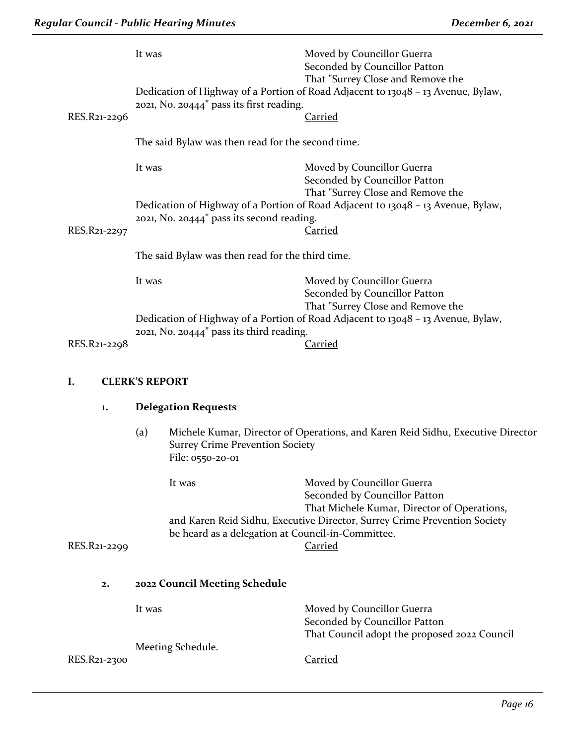|              | It was                                                            | Moved by Councillor Guerra<br>Seconded by Councillor Patton<br>That "Surrey Close and Remove the                                           |
|--------------|-------------------------------------------------------------------|--------------------------------------------------------------------------------------------------------------------------------------------|
|              | 2021, No. 20444" pass its first reading.                          | Dedication of Highway of a Portion of Road Adjacent to 13048 - 13 Avenue, Bylaw,                                                           |
| RES.R21-2296 |                                                                   | <b>Carried</b>                                                                                                                             |
|              | The said Bylaw was then read for the second time.                 |                                                                                                                                            |
|              | It was                                                            | Moved by Councillor Guerra<br>Seconded by Councillor Patton<br>That "Surrey Close and Remove the                                           |
| RES.R21-2297 | 2021, No. 20444" pass its second reading.                         | Dedication of Highway of a Portion of Road Adjacent to 13048 - 13 Avenue, Bylaw,<br><b>Carried</b>                                         |
|              | The said Bylaw was then read for the third time.                  |                                                                                                                                            |
|              | It was                                                            | Moved by Councillor Guerra<br>Seconded by Councillor Patton                                                                                |
|              | 2021, No. 20444" pass its third reading.                          | That "Surrey Close and Remove the<br>Dedication of Highway of a Portion of Road Adjacent to 13048 - 13 Avenue, Bylaw,                      |
| RES.R21-2298 |                                                                   | <u>Carried</u>                                                                                                                             |
|              |                                                                   |                                                                                                                                            |
| I.           | <b>CLERK'S REPORT</b>                                             |                                                                                                                                            |
| 1.           | <b>Delegation Requests</b>                                        |                                                                                                                                            |
|              | (a)<br><b>Surrey Crime Prevention Society</b><br>File: 0550-20-01 | Michele Kumar, Director of Operations, and Karen Reid Sidhu, Executive Director                                                            |
|              | It was                                                            | Moved by Councillor Guerra<br>Seconded by Councillor Patton                                                                                |
| RES.R21-2299 | be heard as a delegation at Council-in-Committee.                 | That Michele Kumar, Director of Operations,<br>and Karen Reid Sidhu, Executive Director, Surrey Crime Prevention Society<br><b>Carried</b> |
| 2.           | 2022 Council Meeting Schedule                                     |                                                                                                                                            |
|              | It was                                                            | Moved by Councillor Guerra<br>Seconded by Councillor Patton                                                                                |
|              | Meeting Schedule.                                                 | That Council adopt the proposed 2022 Council                                                                                               |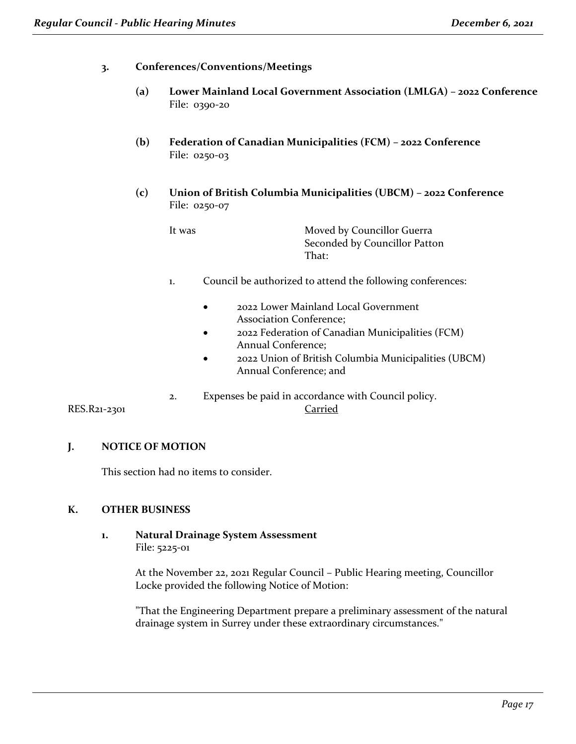#### **3. Conferences/Conventions/Meetings**

- **(a) Lower Mainland Local Government Association (LMLGA) – 2022 Conference**  File: 0390-20
- **(b) Federation of Canadian Municipalities (FCM) – 2022 Conference** File: 0250-03
- **(c) Union of British Columbia Municipalities (UBCM) – 2022 Conference** File: 0250-07

| It was | Moved by Councillor Guerra    |
|--------|-------------------------------|
|        | Seconded by Councillor Patton |
|        | $\mathsf{That}$ :             |

- 1. Council be authorized to attend the following conferences:
	- 2022 Lower Mainland Local Government Association Conference;
	- 2022 Federation of Canadian Municipalities (FCM) Annual Conference;
	- 2022 Union of British Columbia Municipalities (UBCM) Annual Conference; and
- 2. Expenses be paid in accordance with Council policy.

RES.R21-2301 Carried

# **J. NOTICE OF MOTION**

This section had no items to consider.

#### **K. OTHER BUSINESS**

**1. Natural Drainage System Assessment**  File: 5225-01

> At the November 22, 2021 Regular Council – Public Hearing meeting, Councillor Locke provided the following Notice of Motion:

"That the Engineering Department prepare a preliminary assessment of the natural drainage system in Surrey under these extraordinary circumstances."